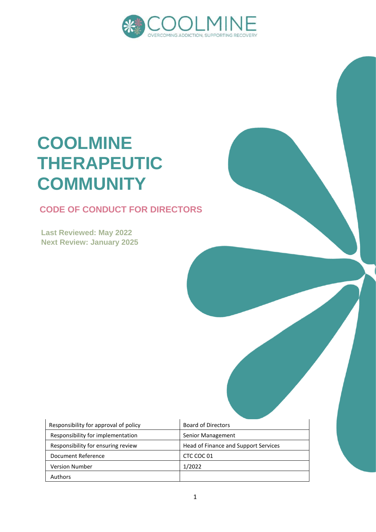

# **COOLMINE THERAPEUTIC COMMUNITY**

# **CODE OF CONDUCT FOR DIRECTORS**

**Last Reviewed: May 2022 Next Review: January 2025**

| Responsibility for approval of policy | <b>Board of Directors</b>            |  |
|---------------------------------------|--------------------------------------|--|
| Responsibility for implementation     | Senior Management                    |  |
| Responsibility for ensuring review    | Head of Finance and Support Services |  |
| Document Reference                    | CTC COC 01                           |  |
| <b>Version Number</b>                 | 1/2022                               |  |
| Authors                               |                                      |  |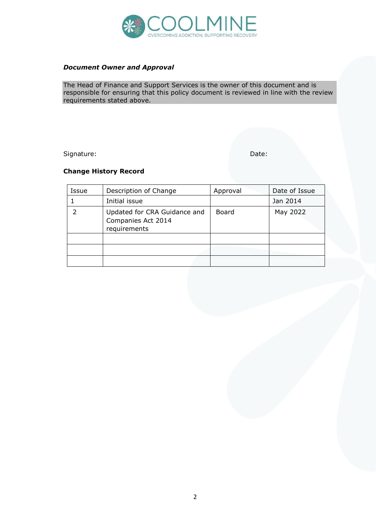

#### *Document Owner and Approval*

The Head of Finance and Support Services is the owner of this document and is responsible for ensuring that this policy document is reviewed in line with the review requirements stated above.

Signature: Date: Date: Date: Date: Date: Date: Date: Date: Date: Date: Date: Date: Date: Date: Date: Date: Date: Date: Date: Date: Date: Date: Date: Date: Date: Date: Date: Date: Date: Date: Date: Date: Date: Date: Date: D

#### **Change History Record**

| Issue | Description of Change                                              | Approval | Date of Issue |
|-------|--------------------------------------------------------------------|----------|---------------|
|       | Initial issue                                                      |          | Jan 2014      |
|       | Updated for CRA Guidance and<br>Companies Act 2014<br>requirements | Board    | May 2022      |
|       |                                                                    |          |               |
|       |                                                                    |          |               |
|       |                                                                    |          |               |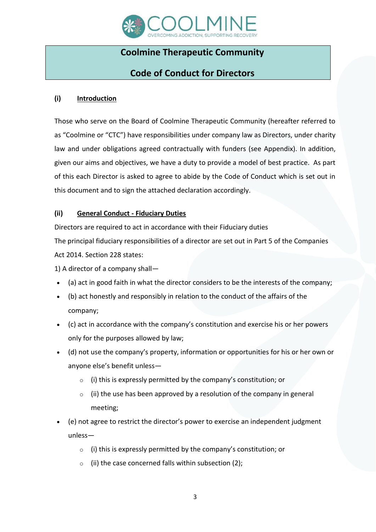

# **Coolmine Therapeutic Community**

## **Code of Conduct for Directors**

#### **(i) Introduction**

Those who serve on the Board of Coolmine Therapeutic Community (hereafter referred to as "Coolmine or "CTC") have responsibilities under company law as Directors, under charity law and under obligations agreed contractually with funders (see Appendix). In addition, given our aims and objectives, we have a duty to provide a model of best practice. As part of this each Director is asked to agree to abide by the Code of Conduct which is set out in this document and to sign the attached declaration accordingly.

### **(ii) General Conduct - Fiduciary Duties**

Directors are required to act in accordance with their Fiduciary duties

The principal fiduciary responsibilities of a director are set out in Part 5 of the Companies Act 2014. Section 228 states:

1) A director of a company shall—

- (a) act in good faith in what the director considers to be the interests of the company;
- (b) act honestly and responsibly in relation to the conduct of the affairs of the company;
- (c) act in accordance with the company's constitution and exercise his or her powers only for the purposes allowed by law;
- (d) not use the company's property, information or opportunities for his or her own or anyone else's benefit unless—
	- $\circ$  (i) this is expressly permitted by the company's constitution; or
	- $\circ$  (ii) the use has been approved by a resolution of the company in general meeting;
- (e) not agree to restrict the director's power to exercise an independent judgment unless—
	- $\circ$  (i) this is expressly permitted by the company's constitution; or
	- $\circ$  (ii) the case concerned falls within subsection (2);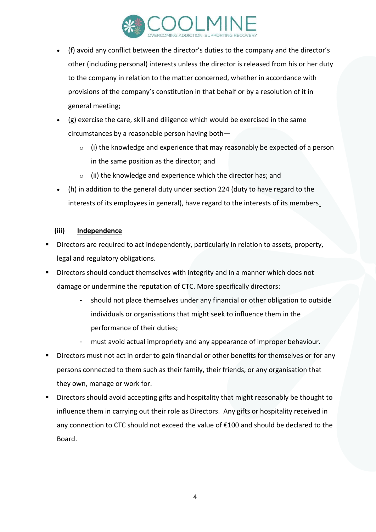

- (f) avoid any conflict between the director's duties to the company and the director's other (including personal) interests unless the director is released from his or her duty to the company in relation to the matter concerned, whether in accordance with provisions of the company's constitution in that behalf or by a resolution of it in general meeting;
- (g) exercise the care, skill and diligence which would be exercised in the same circumstances by a reasonable person having both—
	- $\circ$  (i) the knowledge and experience that may reasonably be expected of a person in the same position as the director; and
	- $\circ$  (ii) the knowledge and experience which the director has; and
- (h) in addition to the general duty under section 224 (duty to have regard to the interests of its employees in general), have regard to the interests of its members.

#### **(iii) Independence**

- Directors are required to act independently, particularly in relation to assets, property, legal and regulatory obligations.
- Directors should conduct themselves with integrity and in a manner which does not damage or undermine the reputation of CTC. More specifically directors:
	- should not place themselves under any financial or other obligation to outside individuals or organisations that might seek to influence them in the performance of their duties;
	- must avoid actual impropriety and any appearance of improper behaviour.
- Directors must not act in order to gain financial or other benefits for themselves or for any persons connected to them such as their family, their friends, or any organisation that they own, manage or work for.
- Directors should avoid accepting gifts and hospitality that might reasonably be thought to influence them in carrying out their role as Directors. Any gifts or hospitality received in any connection to CTC should not exceed the value of €100 and should be declared to the Board.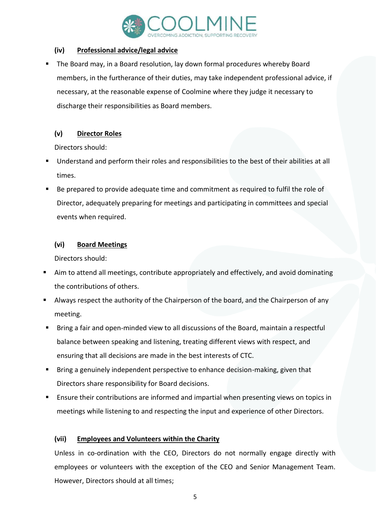

### **(iv) Professional advice/legal advice**

The Board may, in a Board resolution, lay down formal procedures whereby Board members, in the furtherance of their duties, may take independent professional advice, if necessary, at the reasonable expense of Coolmine where they judge it necessary to discharge their responsibilities as Board members.

### **(v) Director Roles**

Directors should:

- Understand and perform their roles and responsibilities to the best of their abilities at all times.
- Be prepared to provide adequate time and commitment as required to fulfil the role of Director, adequately preparing for meetings and participating in committees and special events when required.

## **(vi) Board Meetings**

Directors should:

- Aim to attend all meetings, contribute appropriately and effectively, and avoid dominating the contributions of others.
- Always respect the authority of the Chairperson of the board, and the Chairperson of any meeting.
- Bring a fair and open-minded view to all discussions of the Board, maintain a respectful balance between speaking and listening, treating different views with respect, and ensuring that all decisions are made in the best interests of CTC.
- Bring a genuinely independent perspective to enhance decision-making, given that Directors share responsibility for Board decisions.
- Ensure their contributions are informed and impartial when presenting views on topics in meetings while listening to and respecting the input and experience of other Directors.

## **(vii) Employees and Volunteers within the Charity**

Unless in co-ordination with the CEO, Directors do not normally engage directly with employees or volunteers with the exception of the CEO and Senior Management Team. However, Directors should at all times;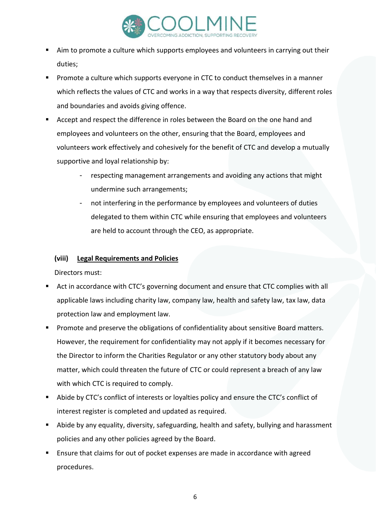

- Aim to promote a culture which supports employees and volunteers in carrying out their duties;
- Promote a culture which supports everyone in CTC to conduct themselves in a manner which reflects the values of CTC and works in a way that respects diversity, different roles and boundaries and avoids giving offence.
- Accept and respect the difference in roles between the Board on the one hand and employees and volunteers on the other, ensuring that the Board, employees and volunteers work effectively and cohesively for the benefit of CTC and develop a mutually supportive and loyal relationship by:
	- respecting management arrangements and avoiding any actions that might undermine such arrangements;
	- not interfering in the performance by employees and volunteers of duties delegated to them within CTC while ensuring that employees and volunteers are held to account through the CEO, as appropriate.

### **(viii) Legal Requirements and Policies**

Directors must:

- Act in accordance with CTC's governing document and ensure that CTC complies with all applicable laws including charity law, company law, health and safety law, tax law, data protection law and employment law.
- Promote and preserve the obligations of confidentiality about sensitive Board matters. However, the requirement for confidentiality may not apply if it becomes necessary for the Director to inform the Charities Regulator or any other statutory body about any matter, which could threaten the future of CTC or could represent a breach of any law with which CTC is required to comply.
- Abide by CTC's conflict of interests or loyalties policy and ensure the CTC's conflict of interest register is completed and updated as required.
- Abide by any equality, diversity, safeguarding, health and safety, bullying and harassment policies and any other policies agreed by the Board.
- Ensure that claims for out of pocket expenses are made in accordance with agreed procedures.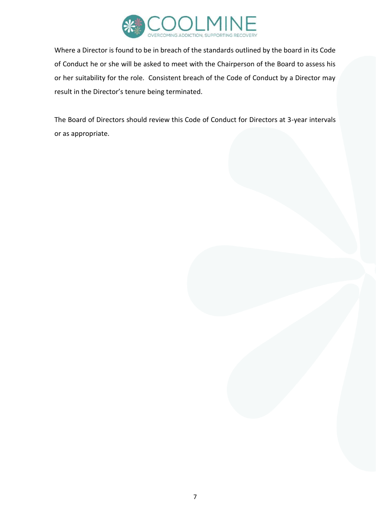

Where a Director is found to be in breach of the standards outlined by the board in its Code of Conduct he or she will be asked to meet with the Chairperson of the Board to assess his or her suitability for the role. Consistent breach of the Code of Conduct by a Director may result in the Director's tenure being terminated.

The Board of Directors should review this Code of Conduct for Directors at 3-year intervals or as appropriate.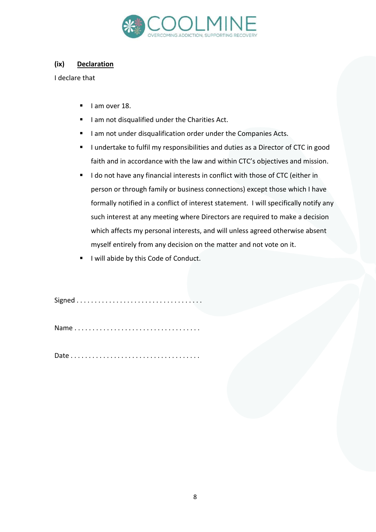

#### **(ix) Declaration**

I declare that

- I am over 18.
- I am not disqualified under the Charities Act.
- I am not under disqualification order under the Companies Acts.
- I undertake to fulfil my responsibilities and duties as a Director of CTC in good faith and in accordance with the law and within CTC's objectives and mission.
- I do not have any financial interests in conflict with those of CTC (either in person or through family or business connections) except those which I have formally notified in a conflict of interest statement. I will specifically notify any such interest at any meeting where Directors are required to make a decision which affects my personal interests, and will unless agreed otherwise absent myself entirely from any decision on the matter and not vote on it.
- I will abide by this Code of Conduct.

Signed . . . . . . . . . . . . . . . . . . . . . . . . . . . . . . . . . . .

Name . . . . . . . . . . . . . . . . . . . . . . . . . . . . . . . . . . .

Date . . . . . . . . . . . . . . . . . . . . . . . . . . . . . . . . . . . .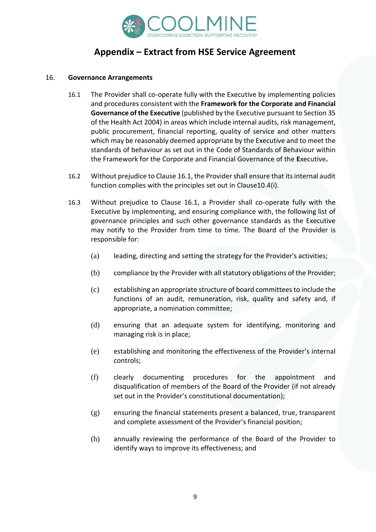

# **Appendix – Extract from HSE Service Agreement**

#### 16. **Governance Arrangements**

- 16.1 The Provider shall co-operate fully with the Executive by implementing policies and procedures consistent with the **Framework for the Corporate and Financial Governance of the Executive** (published by the Executive pursuant to Section 35 of the Health Act 2004) in areas which include internal audits, risk management, public procurement, financial reporting, quality of service and other matters which may be reasonably deemed appropriate by the Executive and to meet the standards of behaviour as set out in the Code of Standards of Behaviour within the Framework for the Corporate and Financial Governance of the **E**xecutive**.**
- 16.2 Without prejudice to Clause 16.1, the Provider shall ensure that its internal audit function complies with the principles set out in Clause10.4(i).
- 16.3 Without prejudice to Clause 16.1, a Provider shall co-operate fully with the Executive by implementing, and ensuring compliance with, the following list of governance principles and such other governance standards as the Executive may notify to the Provider from time to time. The Board of the Provider is responsible for:
	- (a) leading, directing and setting the strategy for the Provider's activities;
	- (b) compliance by the Provider with all statutory obligations of the Provider;
	- (c) establishing an appropriate structure of board committees to include the functions of an audit, remuneration, risk, quality and safety and, if appropriate, a nomination committee;
	- (d) ensuring that an adequate system for identifying, monitoring and managing risk is in place;
	- (e) establishing and monitoring the effectiveness of the Provider's internal controls;
	- (f) clearly documenting procedures for the appointment and disqualification of members of the Board of the Provider (if not already set out in the Provider's constitutional documentation);
	- (g) ensuring the financial statements present a balanced, true, transparent and complete assessment of the Provider's financial position;
	- (h) annually reviewing the performance of the Board of the Provider to identify ways to improve its effectiveness; and